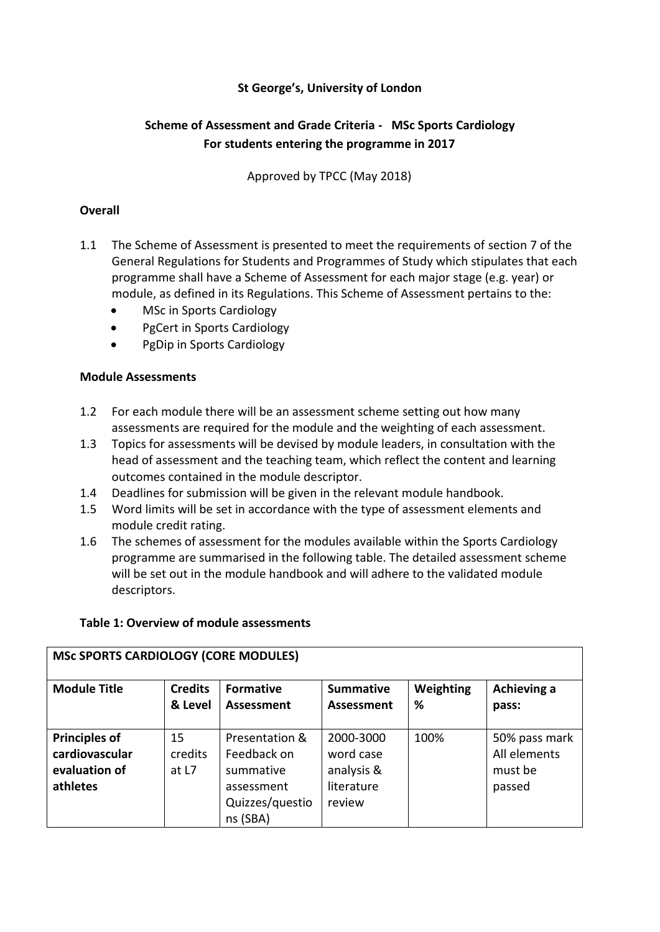# **St George's, University of London**

# **Scheme of Assessment and Grade Criteria - MSc Sports Cardiology For students entering the programme in 2017**

Approved by TPCC (May 2018)

#### **Overall**

- 1.1 The Scheme of Assessment is presented to meet the requirements of section 7 of the General Regulations for Students and Programmes of Study which stipulates that each programme shall have a Scheme of Assessment for each major stage (e.g. year) or module, as defined in its Regulations. This Scheme of Assessment pertains to the:
	- MSc in Sports Cardiology
	- PgCert in Sports Cardiology
	- PgDip in Sports Cardiology

#### **Module Assessments**

- 1.2 For each module there will be an assessment scheme setting out how many assessments are required for the module and the weighting of each assessment.
- 1.3 Topics for assessments will be devised by module leaders, in consultation with the head of assessment and the teaching team, which reflect the content and learning outcomes contained in the module descriptor.
- 1.4 Deadlines for submission will be given in the relevant module handbook.
- 1.5 Word limits will be set in accordance with the type of assessment elements and module credit rating.
- 1.6 The schemes of assessment for the modules available within the Sports Cardiology programme are summarised in the following table. The detailed assessment scheme will be set out in the module handbook and will adhere to the validated module descriptors.

#### **Table 1: Overview of module assessments**

| <b>INJUDITIES CANDIOLOGI (CONLINIODOLLS)</b>                        |                           |                                                                                         |                                                              |                |                                                    |
|---------------------------------------------------------------------|---------------------------|-----------------------------------------------------------------------------------------|--------------------------------------------------------------|----------------|----------------------------------------------------|
| <b>Module Title</b>                                                 | <b>Credits</b><br>& Level | <b>Formative</b><br><b>Assessment</b>                                                   | <b>Summative</b><br><b>Assessment</b>                        | Weighting<br>% | Achieving a<br>pass:                               |
| <b>Principles of</b><br>cardiovascular<br>evaluation of<br>athletes | 15<br>credits<br>at L7    | Presentation &<br>Feedback on<br>summative<br>assessment<br>Quizzes/questio<br>ns (SBA) | 2000-3000<br>word case<br>analysis &<br>literature<br>review | 100%           | 50% pass mark<br>All elements<br>must be<br>passed |

# **MSC SPORTS CARDIOLOGY (CORE MODULES)**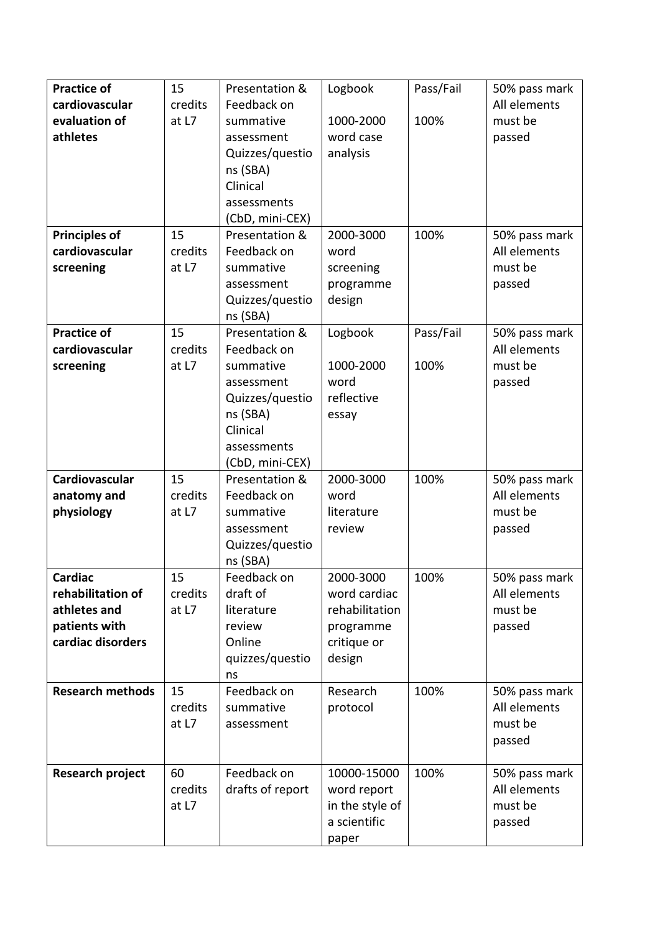| <b>Practice of</b>      | 15      | Presentation &   | Logbook         | Pass/Fail | 50% pass mark |
|-------------------------|---------|------------------|-----------------|-----------|---------------|
| cardiovascular          | credits | Feedback on      |                 |           | All elements  |
| evaluation of           | at L7   | summative        | 1000-2000       | 100%      | must be       |
| athletes                |         | assessment       | word case       |           | passed        |
|                         |         | Quizzes/questio  | analysis        |           |               |
|                         |         | ns (SBA)         |                 |           |               |
|                         |         | Clinical         |                 |           |               |
|                         |         | assessments      |                 |           |               |
|                         |         | (CbD, mini-CEX)  |                 |           |               |
| <b>Principles of</b>    | 15      | Presentation &   | 2000-3000       | 100%      | 50% pass mark |
| cardiovascular          | credits | Feedback on      | word            |           | All elements  |
| screening               | at L7   | summative        | screening       |           | must be       |
|                         |         | assessment       | programme       |           | passed        |
|                         |         | Quizzes/questio  | design          |           |               |
|                         |         | ns (SBA)         |                 |           |               |
| <b>Practice of</b>      | 15      | Presentation &   | Logbook         | Pass/Fail | 50% pass mark |
| cardiovascular          | credits | Feedback on      |                 |           | All elements  |
| screening               | at L7   | summative        | 1000-2000       | 100%      | must be       |
|                         |         | assessment       | word            |           | passed        |
|                         |         | Quizzes/questio  | reflective      |           |               |
|                         |         | ns (SBA)         | essay           |           |               |
|                         |         | Clinical         |                 |           |               |
|                         |         | assessments      |                 |           |               |
|                         |         | (CbD, mini-CEX)  |                 |           |               |
| Cardiovascular          | 15      | Presentation &   | 2000-3000       | 100%      | 50% pass mark |
| anatomy and             | credits | Feedback on      | word            |           | All elements  |
| physiology              | at L7   | summative        | literature      |           | must be       |
|                         |         | assessment       | review          |           | passed        |
|                         |         | Quizzes/questio  |                 |           |               |
|                         |         | ns (SBA)         |                 |           |               |
| Cardiac                 | 15      | Feedback on      | 2000-3000       | 100%      | 50% pass mark |
| rehabilitation of       | credits | draft of         | word cardiac    |           | All elements  |
| athletes and            | at L7   | literature       | rehabilitation  |           | must be       |
| patients with           |         | review           | programme       |           | passed        |
| cardiac disorders       |         | Online           | critique or     |           |               |
|                         |         | quizzes/questio  | design          |           |               |
|                         |         | ns               |                 |           |               |
| <b>Research methods</b> | 15      | Feedback on      | Research        | 100%      | 50% pass mark |
|                         | credits | summative        | protocol        |           | All elements  |
|                         | at L7   | assessment       |                 |           | must be       |
|                         |         |                  |                 |           | passed        |
|                         |         |                  |                 |           |               |
| <b>Research project</b> | 60      | Feedback on      | 10000-15000     | 100%      | 50% pass mark |
|                         | credits | drafts of report | word report     |           | All elements  |
|                         | at L7   |                  | in the style of |           | must be       |
|                         |         |                  | a scientific    |           | passed        |
|                         |         |                  | paper           |           |               |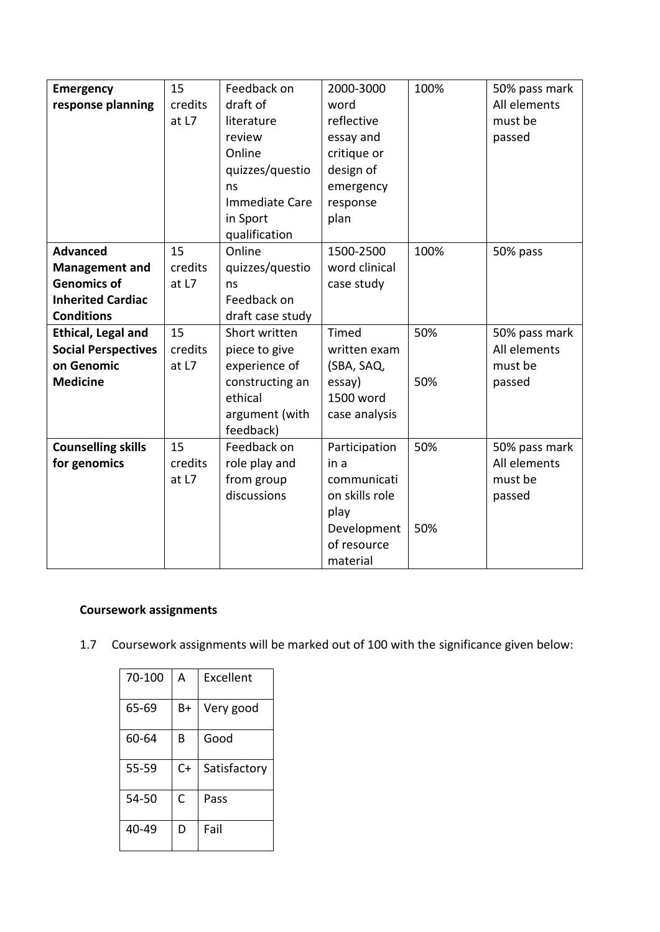| <b>Emergency</b>           | 15      | Feedback on      | 2000-3000      | 100% | 50% pass mark |
|----------------------------|---------|------------------|----------------|------|---------------|
| response planning          | credits | draft of         | word           |      | All elements  |
|                            | at L7   | literature       | reflective     |      | must be       |
|                            |         | review           | essay and      |      | passed        |
|                            |         | Online           | critique or    |      |               |
|                            |         | quizzes/questio  | design of      |      |               |
|                            |         | ns               | emergency      |      |               |
|                            |         | Immediate Care   | response       |      |               |
|                            |         | in Sport         | plan           |      |               |
|                            |         | qualification    |                |      |               |
| <b>Advanced</b>            | 15      | Online           | 1500-2500      | 100% | 50% pass      |
| <b>Management and</b>      | credits | quizzes/questio  | word clinical  |      |               |
| <b>Genomics of</b>         | at L7   | ns               | case study     |      |               |
| <b>Inherited Cardiac</b>   |         | Feedback on      |                |      |               |
| <b>Conditions</b>          |         | draft case study |                |      |               |
| <b>Ethical, Legal and</b>  | 15      | Short written    | Timed          | 50%  | 50% pass mark |
| <b>Social Perspectives</b> | credits | piece to give    | written exam   |      | All elements  |
| on Genomic                 | at L7   | experience of    | (SBA, SAQ,     |      | must be       |
| <b>Medicine</b>            |         | constructing an  | essay)         | 50%  | passed        |
|                            |         | ethical          | 1500 word      |      |               |
|                            |         | argument (with   | case analysis  |      |               |
|                            |         | feedback)        |                |      |               |
| <b>Counselling skills</b>  | 15      | Feedback on      | Participation  | 50%  | 50% pass mark |
| for genomics               | credits | role play and    | in a           |      | All elements  |
|                            | at L7   | from group       | communicati    |      | must be       |
|                            |         | discussions      | on skills role |      | passed        |
|                            |         |                  | play           |      |               |
|                            |         |                  | Development    | 50%  |               |
|                            |         |                  | of resource    |      |               |
|                            |         |                  | material       |      |               |

# **Coursework assignments**

1.7 Coursework assignments will be marked out of 100 with the significance given below:

| 70-100 | А  | Excellent    |
|--------|----|--------------|
| 65-69  | B+ | Very good    |
| 60-64  | B  | Good         |
| 55-59  | C+ | Satisfactory |
| 54-50  | C  | Pass         |
| 40-49  | D  | Fail         |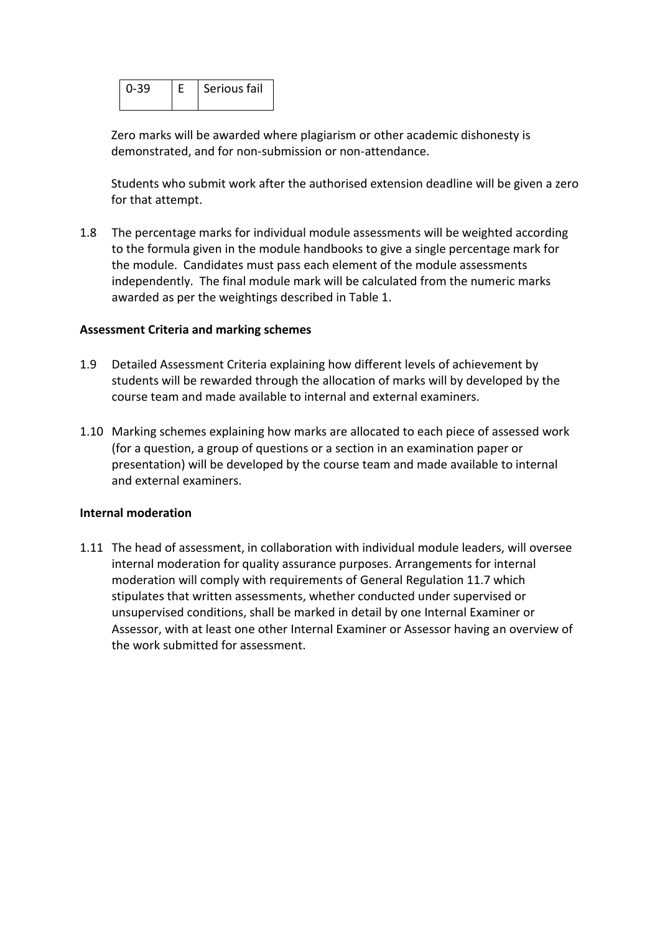|  | Serious fail |
|--|--------------|
|  |              |

Zero marks will be awarded where plagiarism or other academic dishonesty is demonstrated, and for non-submission or non-attendance.

Students who submit work after the authorised extension deadline will be given a zero for that attempt.

1.8 The percentage marks for individual module assessments will be weighted according to the formula given in the module handbooks to give a single percentage mark for the module. Candidates must pass each element of the module assessments independently. The final module mark will be calculated from the numeric marks awarded as per the weightings described in Table 1.

#### **Assessment Criteria and marking schemes**

- 1.9 Detailed Assessment Criteria explaining how different levels of achievement by students will be rewarded through the allocation of marks will by developed by the course team and made available to internal and external examiners.
- 1.10 Marking schemes explaining how marks are allocated to each piece of assessed work (for a question, a group of questions or a section in an examination paper or presentation) will be developed by the course team and made available to internal and external examiners.

#### **Internal moderation**

1.11 The head of assessment, in collaboration with individual module leaders, will oversee internal moderation for quality assurance purposes. Arrangements for internal moderation will comply with requirements of General Regulation 11.7 which stipulates that written assessments, whether conducted under supervised or unsupervised conditions, shall be marked in detail by one Internal Examiner or Assessor, with at least one other Internal Examiner or Assessor having an overview of the work submitted for assessment.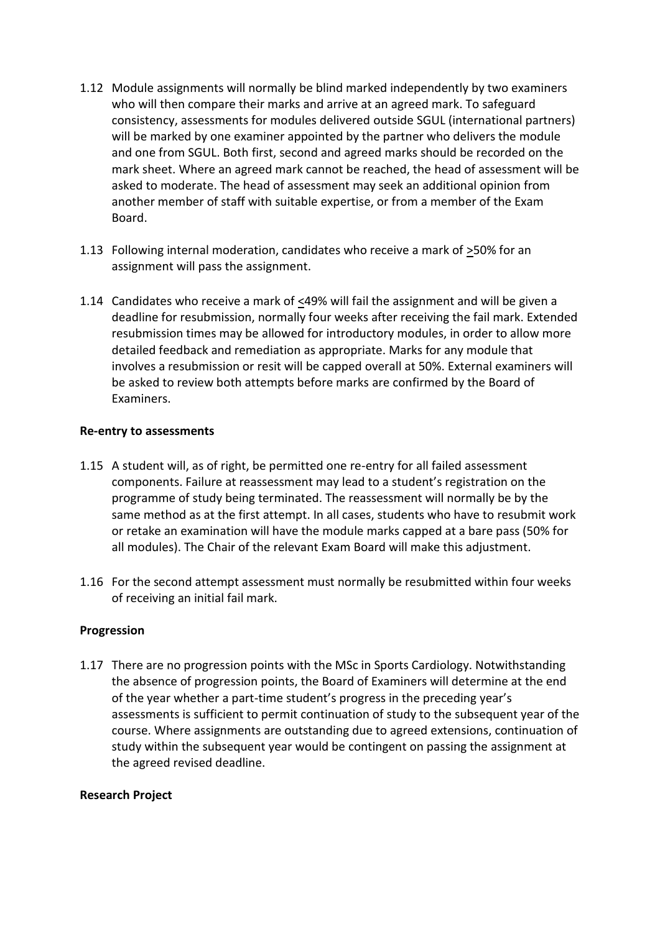- 1.12 Module assignments will normally be blind marked independently by two examiners who will then compare their marks and arrive at an agreed mark. To safeguard consistency, assessments for modules delivered outside SGUL (international partners) will be marked by one examiner appointed by the partner who delivers the module and one from SGUL. Both first, second and agreed marks should be recorded on the mark sheet. Where an agreed mark cannot be reached, the head of assessment will be asked to moderate. The head of assessment may seek an additional opinion from another member of staff with suitable expertise, or from a member of the Exam Board.
- 1.13 Following internal moderation, candidates who receive a mark of >50% for an assignment will pass the assignment.
- 1.14 Candidates who receive a mark of <49% will fail the assignment and will be given a deadline for resubmission, normally four weeks after receiving the fail mark. Extended resubmission times may be allowed for introductory modules, in order to allow more detailed feedback and remediation as appropriate. Marks for any module that involves a resubmission or resit will be capped overall at 50%. External examiners will be asked to review both attempts before marks are confirmed by the Board of Examiners.

#### **Re-entry to assessments**

- 1.15 A student will, as of right, be permitted one re-entry for all failed assessment components. Failure at reassessment may lead to a student's registration on the programme of study being terminated. The reassessment will normally be by the same method as at the first attempt. In all cases, students who have to resubmit work or retake an examination will have the module marks capped at a bare pass (50% for all modules). The Chair of the relevant Exam Board will make this adjustment.
- 1.16 For the second attempt assessment must normally be resubmitted within four weeks of receiving an initial fail mark.

# **Progression**

1.17 There are no progression points with the MSc in Sports Cardiology. Notwithstanding the absence of progression points, the Board of Examiners will determine at the end of the year whether a part-time student's progress in the preceding year's assessments is sufficient to permit continuation of study to the subsequent year of the course. Where assignments are outstanding due to agreed extensions, continuation of study within the subsequent year would be contingent on passing the assignment at the agreed revised deadline.

# **Research Project**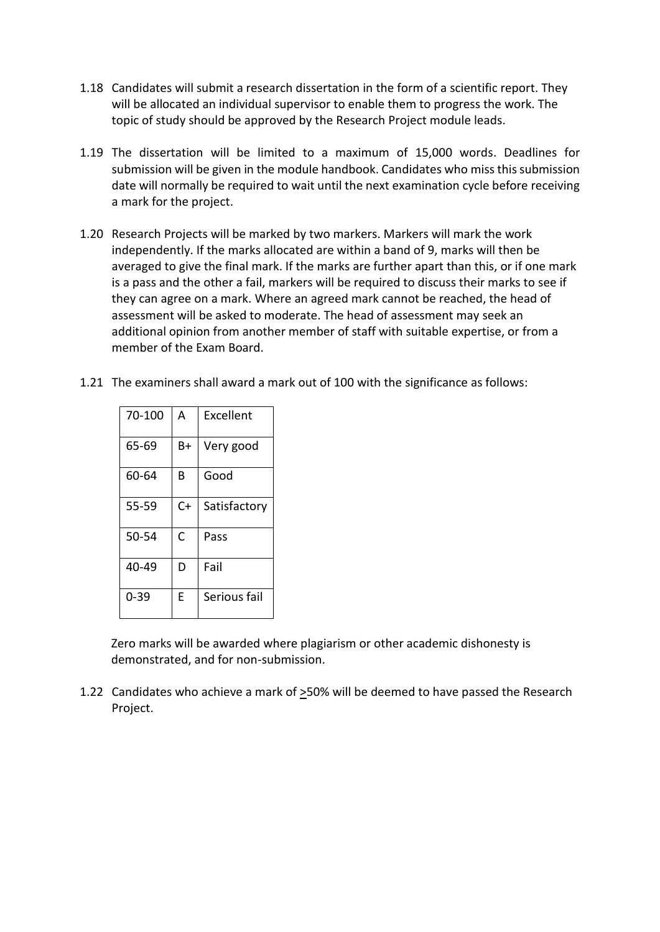- 1.18 Candidates will submit a research dissertation in the form of a scientific report. They will be allocated an individual supervisor to enable them to progress the work. The topic of study should be approved by the Research Project module leads.
- 1.19 The dissertation will be limited to a maximum of 15,000 words. Deadlines for submission will be given in the module handbook. Candidates who miss this submission date will normally be required to wait until the next examination cycle before receiving a mark for the project.
- 1.20 Research Projects will be marked by two markers. Markers will mark the work independently. If the marks allocated are within a band of 9, marks will then be averaged to give the final mark. If the marks are further apart than this, or if one mark is a pass and the other a fail, markers will be required to discuss their marks to see if they can agree on a mark. Where an agreed mark cannot be reached, the head of assessment will be asked to moderate. The head of assessment may seek an additional opinion from another member of staff with suitable expertise, or from a member of the Exam Board.
- 1.21 The examiners shall award a mark out of 100 with the significance as follows:

| 70-100   | А  | Excellent    |
|----------|----|--------------|
| 65-69    | Β+ | Very good    |
| 60-64    | В  | Good         |
| 55-59    | C+ | Satisfactory |
| 50-54    | C  | Pass         |
| 40-49    | D  | Fail         |
| $0 - 39$ | E  | Serious fail |

Zero marks will be awarded where plagiarism or other academic dishonesty is demonstrated, and for non-submission.

1.22 Candidates who achieve a mark of >50% will be deemed to have passed the Research Project.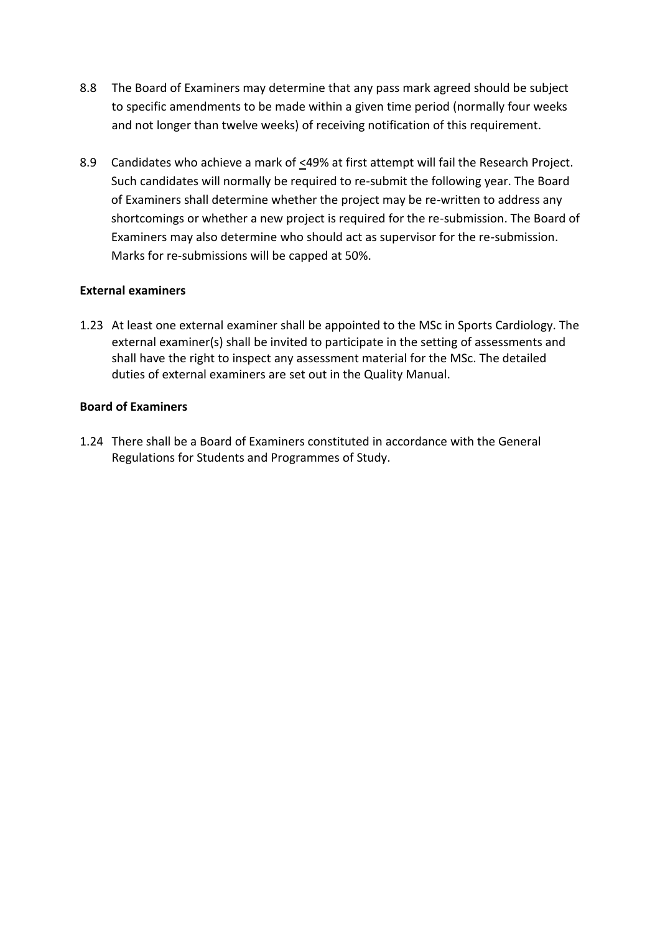- 8.8 The Board of Examiners may determine that any pass mark agreed should be subject to specific amendments to be made within a given time period (normally four weeks and not longer than twelve weeks) of receiving notification of this requirement.
- 8.9 Candidates who achieve a mark of  $\leq$ 49% at first attempt will fail the Research Project. Such candidates will normally be required to re-submit the following year. The Board of Examiners shall determine whether the project may be re-written to address any shortcomings or whether a new project is required for the re-submission. The Board of Examiners may also determine who should act as supervisor for the re-submission. Marks for re-submissions will be capped at 50%.

#### **External examiners**

1.23 At least one external examiner shall be appointed to the MSc in Sports Cardiology. The external examiner(s) shall be invited to participate in the setting of assessments and shall have the right to inspect any assessment material for the MSc. The detailed duties of external examiners are set out in the Quality Manual.

#### **Board of Examiners**

1.24 There shall be a Board of Examiners constituted in accordance with the General Regulations for Students and Programmes of Study.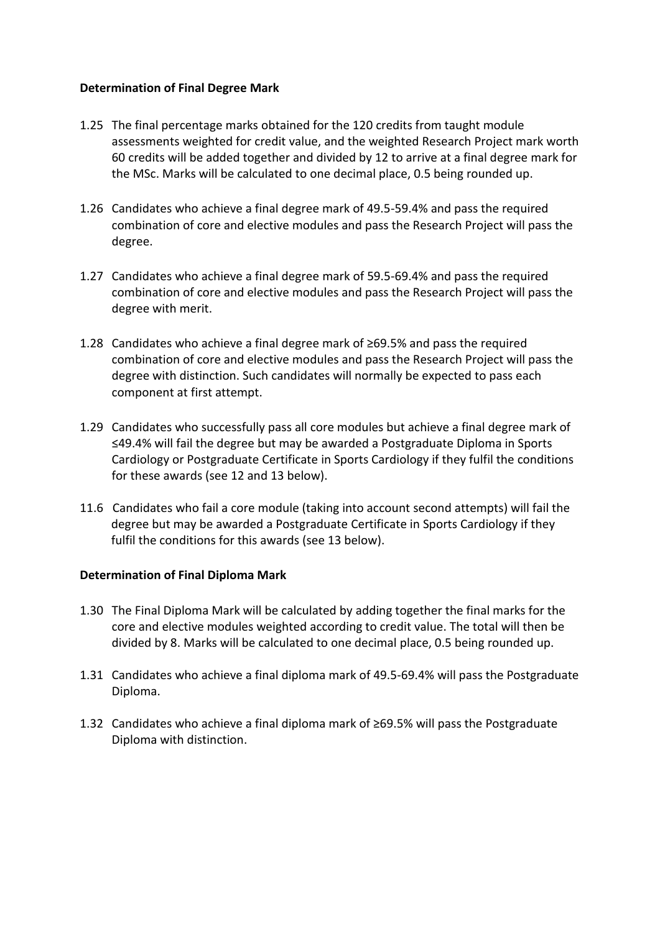#### **Determination of Final Degree Mark**

- 1.25 The final percentage marks obtained for the 120 credits from taught module assessments weighted for credit value, and the weighted Research Project mark worth 60 credits will be added together and divided by 12 to arrive at a final degree mark for the MSc. Marks will be calculated to one decimal place, 0.5 being rounded up.
- 1.26 Candidates who achieve a final degree mark of 49.5-59.4% and pass the required combination of core and elective modules and pass the Research Project will pass the degree.
- 1.27 Candidates who achieve a final degree mark of 59.5-69.4% and pass the required combination of core and elective modules and pass the Research Project will pass the degree with merit.
- 1.28 Candidates who achieve a final degree mark of ≥69.5% and pass the required combination of core and elective modules and pass the Research Project will pass the degree with distinction. Such candidates will normally be expected to pass each component at first attempt.
- 1.29 Candidates who successfully pass all core modules but achieve a final degree mark of ≤49.4% will fail the degree but may be awarded a Postgraduate Diploma in Sports Cardiology or Postgraduate Certificate in Sports Cardiology if they fulfil the conditions for these awards (see 12 and 13 below).
- 11.6 Candidates who fail a core module (taking into account second attempts) will fail the degree but may be awarded a Postgraduate Certificate in Sports Cardiology if they fulfil the conditions for this awards (see 13 below).

# **Determination of Final Diploma Mark**

- 1.30 The Final Diploma Mark will be calculated by adding together the final marks for the core and elective modules weighted according to credit value. The total will then be divided by 8. Marks will be calculated to one decimal place, 0.5 being rounded up.
- 1.31 Candidates who achieve a final diploma mark of 49.5-69.4% will pass the Postgraduate Diploma.
- 1.32 Candidates who achieve a final diploma mark of ≥69.5% will pass the Postgraduate Diploma with distinction.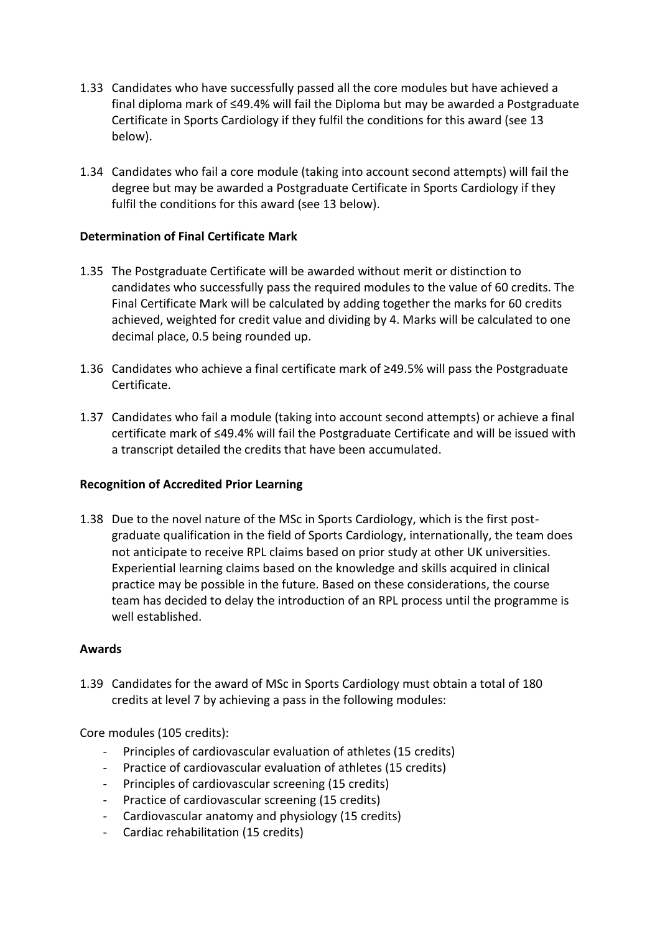- 1.33 Candidates who have successfully passed all the core modules but have achieved a final diploma mark of ≤49.4% will fail the Diploma but may be awarded a Postgraduate Certificate in Sports Cardiology if they fulfil the conditions for this award (see 13 below).
- 1.34 Candidates who fail a core module (taking into account second attempts) will fail the degree but may be awarded a Postgraduate Certificate in Sports Cardiology if they fulfil the conditions for this award (see 13 below).

# **Determination of Final Certificate Mark**

- 1.35 The Postgraduate Certificate will be awarded without merit or distinction to candidates who successfully pass the required modules to the value of 60 credits. The Final Certificate Mark will be calculated by adding together the marks for 60 credits achieved, weighted for credit value and dividing by 4. Marks will be calculated to one decimal place, 0.5 being rounded up.
- 1.36 Candidates who achieve a final certificate mark of ≥49.5% will pass the Postgraduate Certificate.
- 1.37 Candidates who fail a module (taking into account second attempts) or achieve a final certificate mark of ≤49.4% will fail the Postgraduate Certificate and will be issued with a transcript detailed the credits that have been accumulated.

# **Recognition of Accredited Prior Learning**

1.38 Due to the novel nature of the MSc in Sports Cardiology, which is the first postgraduate qualification in the field of Sports Cardiology, internationally, the team does not anticipate to receive RPL claims based on prior study at other UK universities. Experiential learning claims based on the knowledge and skills acquired in clinical practice may be possible in the future. Based on these considerations, the course team has decided to delay the introduction of an RPL process until the programme is well established.

#### **Awards**

1.39 Candidates for the award of MSc in Sports Cardiology must obtain a total of 180 credits at level 7 by achieving a pass in the following modules:

Core modules (105 credits):

- Principles of cardiovascular evaluation of athletes (15 credits)
- Practice of cardiovascular evaluation of athletes (15 credits)
- Principles of cardiovascular screening (15 credits)
- Practice of cardiovascular screening (15 credits)
- Cardiovascular anatomy and physiology (15 credits)
- Cardiac rehabilitation (15 credits)